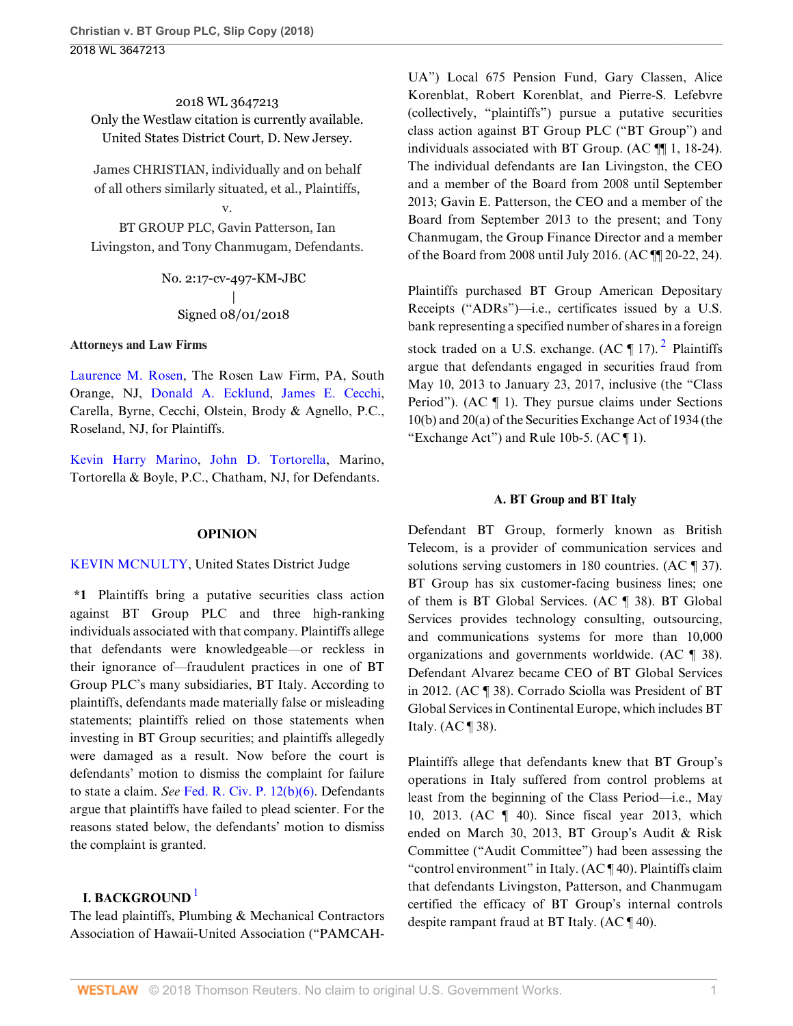2018 WL 3647213 Only the Westlaw citation is currently available. United States District Court, D. New Jersey.

James CHRISTIAN, individually and on behalf of all others similarly situated, et al., Plaintiffs,

BT GROUP PLC, Gavin Patterson, Ian Livingston, and Tony Chanmugam, Defendants.

v.

No. 2:17-cv-497-KM-JBC | Signed 08/01/2018

#### **Attorneys and Law Firms**

[Laurence M. Rosen](http://www.westlaw.com/Link/Document/FullText?findType=h&pubNum=176284&cite=0342706501&originatingDoc=Ie5d2d7f0963a11e89b71ea0c471daf33&refType=RQ&originationContext=document&vr=3.0&rs=cblt1.0&transitionType=DocumentItem&contextData=(sc.UserEnteredCitation)), The Rosen Law Firm, PA, South Orange, NJ, [Donald A. Ecklund](http://www.westlaw.com/Link/Document/FullText?findType=h&pubNum=176284&cite=0344561701&originatingDoc=Ie5d2d7f0963a11e89b71ea0c471daf33&refType=RQ&originationContext=document&vr=3.0&rs=cblt1.0&transitionType=DocumentItem&contextData=(sc.UserEnteredCitation)), [James E. Cecchi](http://www.westlaw.com/Link/Document/FullText?findType=h&pubNum=176284&cite=0206819301&originatingDoc=Ie5d2d7f0963a11e89b71ea0c471daf33&refType=RQ&originationContext=document&vr=3.0&rs=cblt1.0&transitionType=DocumentItem&contextData=(sc.UserEnteredCitation)), Carella, Byrne, Cecchi, Olstein, Brody & Agnello, P.C., Roseland, NJ, for Plaintiffs.

[Kevin Harry Marino](http://www.westlaw.com/Link/Document/FullText?findType=h&pubNum=176284&cite=0290829701&originatingDoc=Ie5d2d7f0963a11e89b71ea0c471daf33&refType=RQ&originationContext=document&vr=3.0&rs=cblt1.0&transitionType=DocumentItem&contextData=(sc.UserEnteredCitation)), [John D. Tortorella,](http://www.westlaw.com/Link/Document/FullText?findType=h&pubNum=176284&cite=0342627301&originatingDoc=Ie5d2d7f0963a11e89b71ea0c471daf33&refType=RQ&originationContext=document&vr=3.0&rs=cblt1.0&transitionType=DocumentItem&contextData=(sc.UserEnteredCitation)) Marino, Tortorella & Boyle, P.C., Chatham, NJ, for Defendants.

## **OPINION**

## [KEVIN MCNULTY](http://www.westlaw.com/Link/Document/FullText?findType=h&pubNum=176284&cite=0112715701&originatingDoc=Ie5d2d7f0963a11e89b71ea0c471daf33&refType=RQ&originationContext=document&vr=3.0&rs=cblt1.0&transitionType=DocumentItem&contextData=(sc.UserEnteredCitation)), United States District Judge

**\*1** Plaintiffs bring a putative securities class action against BT Group PLC and three high-ranking individuals associated with that company. Plaintiffs allege that defendants were knowledgeable—or reckless in their ignorance of—fraudulent practices in one of BT Group PLC's many subsidiaries, BT Italy. According to plaintiffs, defendants made materially false or misleading statements; plaintiffs relied on those statements when investing in BT Group securities; and plaintiffs allegedly were damaged as a result. Now before the court is defendants' motion to dismiss the complaint for failure to state a claim. *See* [Fed. R. Civ. P. 12\(b\)\(6\).](http://www.westlaw.com/Link/Document/FullText?findType=L&pubNum=1000600&cite=USFRCPR12&originatingDoc=Ie5d2d7f0963a11e89b71ea0c471daf33&refType=LQ&originationContext=document&vr=3.0&rs=cblt1.0&transitionType=DocumentItem&contextData=(sc.UserEnteredCitation)) Defendants argue that plaintiffs have failed to plead scienter. For the reasons stated below, the defendants' motion to dismiss the complaint is granted.

# <span id="page-0-0"></span>**I. BACKGROUND** [1](#page-8-0)

The lead plaintiffs, Plumbing & Mechanical Contractors Association of Hawaii-United Association ("PAMCAH- UA") Local 675 Pension Fund, Gary Classen, Alice Korenblat, Robert Korenblat, and Pierre-S. Lefebvre (collectively, "plaintiffs") pursue a putative securities class action against BT Group PLC ("BT Group") and individuals associated with BT Group. (AC ¶¶ 1, 18-24). The individual defendants are Ian Livingston, the CEO and a member of the Board from 2008 until September 2013; Gavin E. Patterson, the CEO and a member of the Board from September 2013 to the present; and Tony Chanmugam, the Group Finance Director and a member of the Board from 2008 until July 2016. (AC ¶¶ 20-22, 24).

Plaintiffs purchased BT Group American Depositary Receipts ("ADRs")—i.e., certificates issued by a U.S. bank representing a specified number of shares in a foreign stock traded on a U.S. exchange. (AC  $\P$  17).<sup>[2](#page-8-1)</sup> Plaintiffs argue that defendants engaged in securities fraud from May 10, 2013 to January 23, 2017, inclusive (the "Class Period"). (AC ¶ 1). They pursue claims under Sections 10(b) and 20(a) of the Securities Exchange Act of 1934 (the "Exchange Act") and Rule 10b-5.  $(AC \parallel 1)$ .

## <span id="page-0-1"></span>**A. BT Group and BT Italy**

Defendant BT Group, formerly known as British Telecom, is a provider of communication services and solutions serving customers in 180 countries. (AC ¶ 37). BT Group has six customer-facing business lines; one of them is BT Global Services. (AC ¶ 38). BT Global Services provides technology consulting, outsourcing, and communications systems for more than 10,000 organizations and governments worldwide. (AC ¶ 38). Defendant Alvarez became CEO of BT Global Services in 2012. (AC ¶ 38). Corrado Sciolla was President of BT Global Services in Continental Europe, which includes BT Italy. (AC ¶ 38).

Plaintiffs allege that defendants knew that BT Group's operations in Italy suffered from control problems at least from the beginning of the Class Period—i.e., May 10, 2013. (AC ¶ 40). Since fiscal year 2013, which ended on March 30, 2013, BT Group's Audit & Risk Committee ("Audit Committee") had been assessing the "control environment" in Italy. (AC ¶ 40). Plaintiffs claim that defendants Livingston, Patterson, and Chanmugam certified the efficacy of BT Group's internal controls despite rampant fraud at BT Italy. (AC ¶ 40).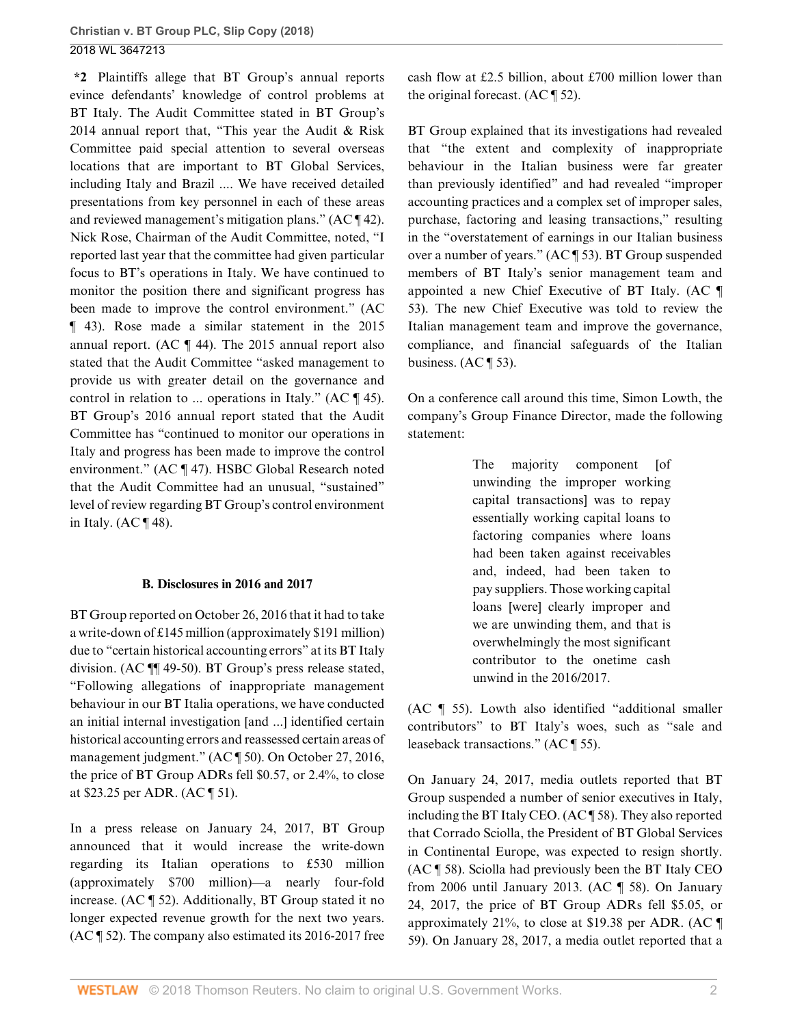**\*2** Plaintiffs allege that BT Group's annual reports evince defendants' knowledge of control problems at BT Italy. The Audit Committee stated in BT Group's 2014 annual report that, "This year the Audit & Risk Committee paid special attention to several overseas locations that are important to BT Global Services, including Italy and Brazil .... We have received detailed presentations from key personnel in each of these areas and reviewed management's mitigation plans." (AC ¶ 42). Nick Rose, Chairman of the Audit Committee, noted, "I reported last year that the committee had given particular focus to BT's operations in Italy. We have continued to monitor the position there and significant progress has been made to improve the control environment." (AC ¶ 43). Rose made a similar statement in the 2015 annual report. (AC ¶ 44). The 2015 annual report also stated that the Audit Committee "asked management to provide us with greater detail on the governance and control in relation to ... operations in Italy." (AC ¶ 45). BT Group's 2016 annual report stated that the Audit Committee has "continued to monitor our operations in Italy and progress has been made to improve the control environment." (AC ¶ 47). HSBC Global Research noted that the Audit Committee had an unusual, "sustained" level of review regarding BT Group's control environment in Italy. (AC $\P$ 48).

#### **B. Disclosures in 2016 and 2017**

BT Group reported on October 26, 2016 that it had to take a write-down of £145 million (approximately \$191 million) due to "certain historical accounting errors" at its BT Italy division. (AC ¶¶ 49-50). BT Group's press release stated, "Following allegations of inappropriate management behaviour in our BT Italia operations, we have conducted an initial internal investigation [and ...] identified certain historical accounting errors and reassessed certain areas of management judgment." (AC ¶ 50). On October 27, 2016, the price of BT Group ADRs fell \$0.57, or 2.4%, to close at \$23.25 per ADR. (AC ¶ 51).

In a press release on January 24, 2017, BT Group announced that it would increase the write-down regarding its Italian operations to £530 million (approximately \$700 million)—a nearly four-fold increase. (AC ¶ 52). Additionally, BT Group stated it no longer expected revenue growth for the next two years. (AC ¶ 52). The company also estimated its 2016-2017 free

cash flow at £2.5 billion, about £700 million lower than the original forecast. (AC ¶ 52).

BT Group explained that its investigations had revealed that "the extent and complexity of inappropriate behaviour in the Italian business were far greater than previously identified" and had revealed "improper accounting practices and a complex set of improper sales, purchase, factoring and leasing transactions," resulting in the "overstatement of earnings in our Italian business over a number of years." (AC ¶ 53). BT Group suspended members of BT Italy's senior management team and appointed a new Chief Executive of BT Italy. (AC ¶ 53). The new Chief Executive was told to review the Italian management team and improve the governance, compliance, and financial safeguards of the Italian business.  $(AC \parallel 53)$ .

On a conference call around this time, Simon Lowth, the company's Group Finance Director, made the following statement:

> The majority component [of unwinding the improper working capital transactions] was to repay essentially working capital loans to factoring companies where loans had been taken against receivables and, indeed, had been taken to pay suppliers. Those working capital loans [were] clearly improper and we are unwinding them, and that is overwhelmingly the most significant contributor to the onetime cash unwind in the 2016/2017.

(AC ¶ 55). Lowth also identified "additional smaller contributors" to BT Italy's woes, such as "sale and leaseback transactions." (AC ¶ 55).

On January 24, 2017, media outlets reported that BT Group suspended a number of senior executives in Italy, including the BT Italy CEO. (AC ¶ 58). They also reported that Corrado Sciolla, the President of BT Global Services in Continental Europe, was expected to resign shortly. (AC ¶ 58). Sciolla had previously been the BT Italy CEO from 2006 until January 2013. (AC ¶ 58). On January 24, 2017, the price of BT Group ADRs fell \$5.05, or approximately 21%, to close at \$19.38 per ADR. (AC ¶ 59). On January 28, 2017, a media outlet reported that a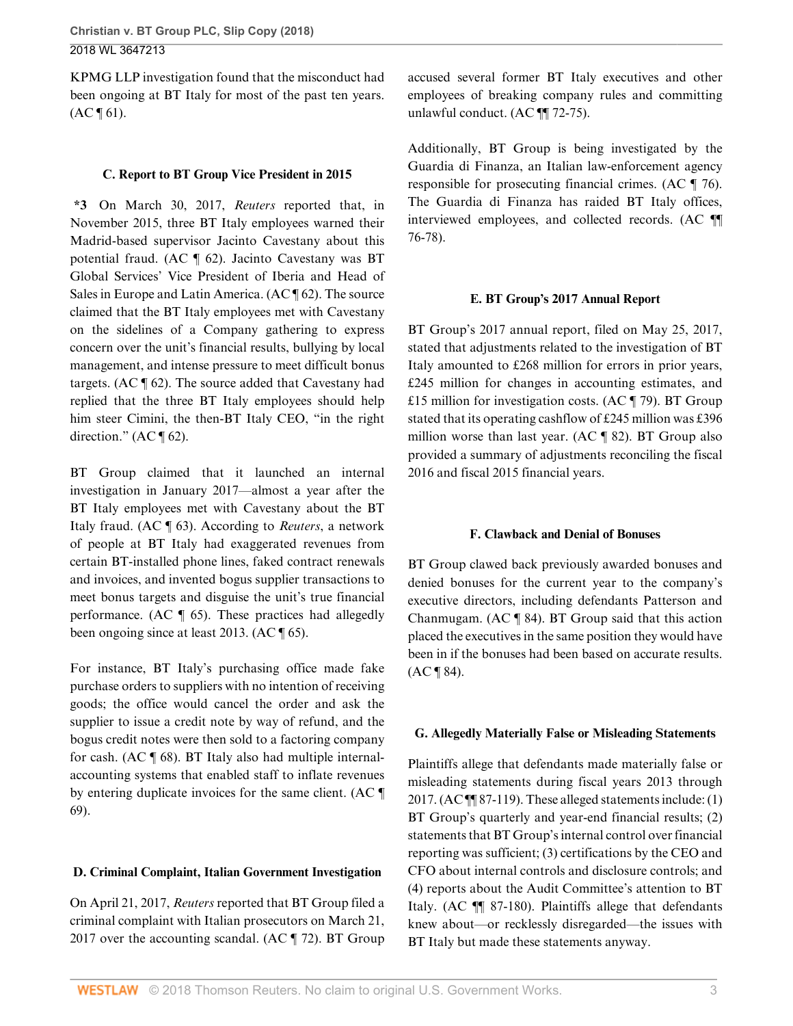KPMG LLP investigation found that the misconduct had been ongoing at BT Italy for most of the past ten years.  $(AC \, \P \, 61).$ 

## **C. Report to BT Group Vice President in 2015**

**\*3** On March 30, 2017, *Reuters* reported that, in November 2015, three BT Italy employees warned their Madrid-based supervisor Jacinto Cavestany about this potential fraud. (AC ¶ 62). Jacinto Cavestany was BT Global Services' Vice President of Iberia and Head of Sales in Europe and Latin America. (AC ¶ 62). The source claimed that the BT Italy employees met with Cavestany on the sidelines of a Company gathering to express concern over the unit's financial results, bullying by local management, and intense pressure to meet difficult bonus targets. (AC ¶ 62). The source added that Cavestany had replied that the three BT Italy employees should help him steer Cimini, the then-BT Italy CEO, "in the right direction."  $(AC \parallel 62)$ .

BT Group claimed that it launched an internal investigation in January 2017—almost a year after the BT Italy employees met with Cavestany about the BT Italy fraud. (AC ¶ 63). According to *Reuters*, a network of people at BT Italy had exaggerated revenues from certain BT-installed phone lines, faked contract renewals and invoices, and invented bogus supplier transactions to meet bonus targets and disguise the unit's true financial performance. (AC ¶ 65). These practices had allegedly been ongoing since at least 2013. (AC ¶ 65).

For instance, BT Italy's purchasing office made fake purchase orders to suppliers with no intention of receiving goods; the office would cancel the order and ask the supplier to issue a credit note by way of refund, and the bogus credit notes were then sold to a factoring company for cash. (AC ¶ 68). BT Italy also had multiple internalaccounting systems that enabled staff to inflate revenues by entering duplicate invoices for the same client. (AC ¶ 69).

# **D. Criminal Complaint, Italian Government Investigation**

On April 21, 2017, *Reuters* reported that BT Group filed a criminal complaint with Italian prosecutors on March 21, 2017 over the accounting scandal. (AC  $\parallel$  72). BT Group accused several former BT Italy executives and other employees of breaking company rules and committing unlawful conduct. (AC ¶¶ 72-75).

Additionally, BT Group is being investigated by the Guardia di Finanza, an Italian law-enforcement agency responsible for prosecuting financial crimes. (AC ¶ 76). The Guardia di Finanza has raided BT Italy offices, interviewed employees, and collected records. (AC ¶¶ 76-78).

# **E. BT Group's 2017 Annual Report**

BT Group's 2017 annual report, filed on May 25, 2017, stated that adjustments related to the investigation of BT Italy amounted to £268 million for errors in prior years, £245 million for changes in accounting estimates, and £15 million for investigation costs.  $(AC \parallel 79)$ . BT Group stated that its operating cashflow of £245 million was £396 million worse than last year. (AC ¶ 82). BT Group also provided a summary of adjustments reconciling the fiscal 2016 and fiscal 2015 financial years.

## **F. Clawback and Denial of Bonuses**

BT Group clawed back previously awarded bonuses and denied bonuses for the current year to the company's executive directors, including defendants Patterson and Chanmugam. (AC ¶ 84). BT Group said that this action placed the executives in the same position they would have been in if the bonuses had been based on accurate results.  $(AC \P 84).$ 

# **G. Allegedly Materially False or Misleading Statements**

Plaintiffs allege that defendants made materially false or misleading statements during fiscal years 2013 through 2017. (AC $\P$  $[87-119]$ ). These alleged statements include: (1) BT Group's quarterly and year-end financial results; (2) statements that BT Group's internal control over financial reporting was sufficient; (3) certifications by the CEO and CFO about internal controls and disclosure controls; and (4) reports about the Audit Committee's attention to BT Italy. (AC ¶¶ 87-180). Plaintiffs allege that defendants knew about—or recklessly disregarded—the issues with BT Italy but made these statements anyway.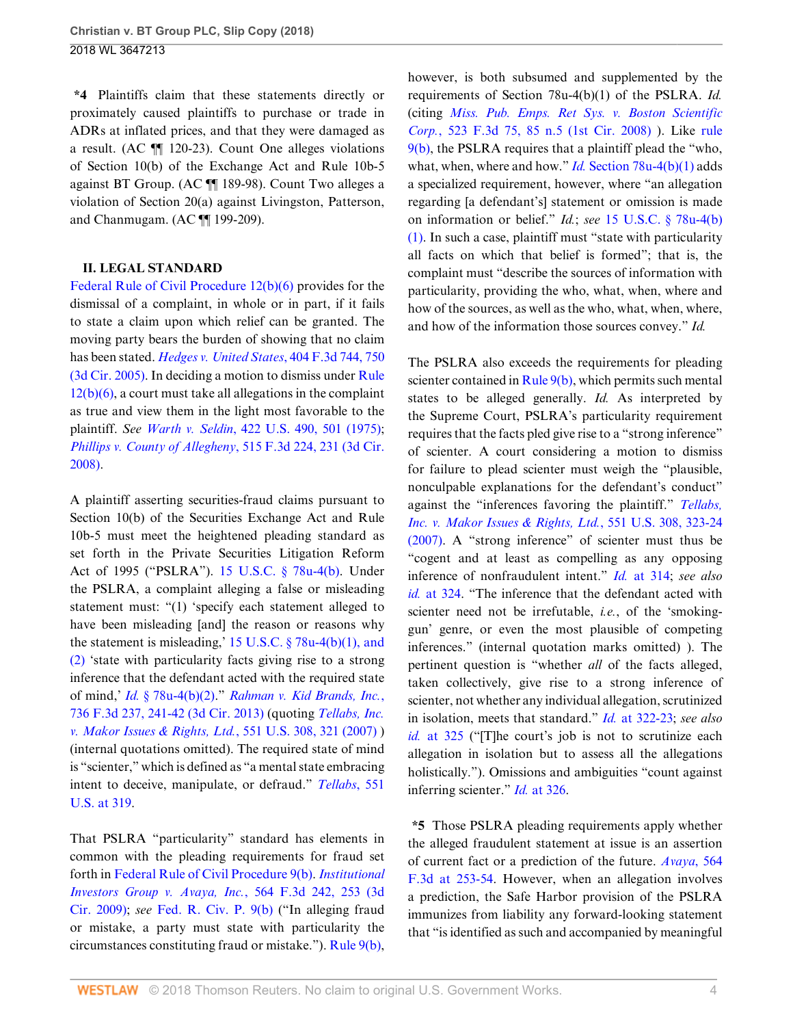**\*4** Plaintiffs claim that these statements directly or proximately caused plaintiffs to purchase or trade in ADRs at inflated prices, and that they were damaged as a result. (AC ¶¶ 120-23). Count One alleges violations of Section 10(b) of the Exchange Act and Rule 10b-5 against BT Group. (AC ¶¶ 189-98). Count Two alleges a violation of Section 20(a) against Livingston, Patterson, and Chanmugam. (AC ¶¶ 199-209).

## **II. LEGAL STANDARD**

[Federal Rule of Civil Procedure 12\(b\)\(6\)](http://www.westlaw.com/Link/Document/FullText?findType=L&pubNum=1000600&cite=USFRCPR12&originatingDoc=Ie5d2d7f0963a11e89b71ea0c471daf33&refType=LQ&originationContext=document&vr=3.0&rs=cblt1.0&transitionType=DocumentItem&contextData=(sc.UserEnteredCitation)) provides for the dismissal of a complaint, in whole or in part, if it fails to state a claim upon which relief can be granted. The moving party bears the burden of showing that no claim has been stated. *[Hedges v. United States](http://www.westlaw.com/Link/Document/FullText?findType=Y&serNum=2006469395&pubNum=0000506&originatingDoc=Ie5d2d7f0963a11e89b71ea0c471daf33&refType=RP&fi=co_pp_sp_506_750&originationContext=document&vr=3.0&rs=cblt1.0&transitionType=DocumentItem&contextData=(sc.UserEnteredCitation)#co_pp_sp_506_750)*, 404 F.3d 744, 750 [\(3d Cir. 2005\).](http://www.westlaw.com/Link/Document/FullText?findType=Y&serNum=2006469395&pubNum=0000506&originatingDoc=Ie5d2d7f0963a11e89b71ea0c471daf33&refType=RP&fi=co_pp_sp_506_750&originationContext=document&vr=3.0&rs=cblt1.0&transitionType=DocumentItem&contextData=(sc.UserEnteredCitation)#co_pp_sp_506_750) In deciding a motion to dismiss under [Rule](http://www.westlaw.com/Link/Document/FullText?findType=L&pubNum=1000600&cite=USFRCPR12&originatingDoc=Ie5d2d7f0963a11e89b71ea0c471daf33&refType=LQ&originationContext=document&vr=3.0&rs=cblt1.0&transitionType=DocumentItem&contextData=(sc.UserEnteredCitation)) [12\(b\)\(6\),](http://www.westlaw.com/Link/Document/FullText?findType=L&pubNum=1000600&cite=USFRCPR12&originatingDoc=Ie5d2d7f0963a11e89b71ea0c471daf33&refType=LQ&originationContext=document&vr=3.0&rs=cblt1.0&transitionType=DocumentItem&contextData=(sc.UserEnteredCitation)) a court must take all allegations in the complaint as true and view them in the light most favorable to the plaintiff. *See Warth v. Seldin*[, 422 U.S. 490, 501 \(1975\)](http://www.westlaw.com/Link/Document/FullText?findType=Y&serNum=1975129820&pubNum=0000780&originatingDoc=Ie5d2d7f0963a11e89b71ea0c471daf33&refType=RP&fi=co_pp_sp_780_501&originationContext=document&vr=3.0&rs=cblt1.0&transitionType=DocumentItem&contextData=(sc.UserEnteredCitation)#co_pp_sp_780_501); *[Phillips v. County of Allegheny](http://www.westlaw.com/Link/Document/FullText?findType=Y&serNum=2015125207&pubNum=0000506&originatingDoc=Ie5d2d7f0963a11e89b71ea0c471daf33&refType=RP&fi=co_pp_sp_506_231&originationContext=document&vr=3.0&rs=cblt1.0&transitionType=DocumentItem&contextData=(sc.UserEnteredCitation)#co_pp_sp_506_231)*, 515 F.3d 224, 231 (3d Cir. [2008\)](http://www.westlaw.com/Link/Document/FullText?findType=Y&serNum=2015125207&pubNum=0000506&originatingDoc=Ie5d2d7f0963a11e89b71ea0c471daf33&refType=RP&fi=co_pp_sp_506_231&originationContext=document&vr=3.0&rs=cblt1.0&transitionType=DocumentItem&contextData=(sc.UserEnteredCitation)#co_pp_sp_506_231).

A plaintiff asserting securities-fraud claims pursuant to Section 10(b) of the Securities Exchange Act and Rule 10b-5 must meet the heightened pleading standard as set forth in the Private Securities Litigation Reform Act of 1995 ("PSLRA"). [15 U.S.C. § 78u-4\(b\)](http://www.westlaw.com/Link/Document/FullText?findType=L&pubNum=1000546&cite=15USCAS78U-4&originatingDoc=Ie5d2d7f0963a11e89b71ea0c471daf33&refType=RB&originationContext=document&vr=3.0&rs=cblt1.0&transitionType=DocumentItem&contextData=(sc.UserEnteredCitation)#co_pp_a83b000018c76). Under the PSLRA, a complaint alleging a false or misleading statement must: "(1) 'specify each statement alleged to have been misleading [and] the reason or reasons why the statement is misleading,'  $15$  U.S.C.  $\S$  78u-4(b)(1), and [\(2\)](http://www.westlaw.com/Link/Document/FullText?findType=L&pubNum=1000546&cite=15USCAS78U-4&originatingDoc=Ie5d2d7f0963a11e89b71ea0c471daf33&refType=RB&originationContext=document&vr=3.0&rs=cblt1.0&transitionType=DocumentItem&contextData=(sc.UserEnteredCitation)#co_pp_3fed000053a85) 'state with particularity facts giving rise to a strong inference that the defendant acted with the required state of mind,' *Id.* [§ 78u-4\(b\)\(2\).](http://www.westlaw.com/Link/Document/FullText?findType=L&pubNum=1000546&cite=15USCAS78U-4&originatingDoc=Ie5d2d7f0963a11e89b71ea0c471daf33&refType=RB&originationContext=document&vr=3.0&rs=cblt1.0&transitionType=DocumentItem&contextData=(sc.UserEnteredCitation)#co_pp_c0ae00006c482)" *[Rahman v. Kid Brands, Inc.](http://www.westlaw.com/Link/Document/FullText?findType=Y&serNum=2031966328&pubNum=0000506&originatingDoc=Ie5d2d7f0963a11e89b71ea0c471daf33&refType=RP&fi=co_pp_sp_506_241&originationContext=document&vr=3.0&rs=cblt1.0&transitionType=DocumentItem&contextData=(sc.UserEnteredCitation)#co_pp_sp_506_241)*, [736 F.3d 237, 241-42 \(3d Cir. 2013\)](http://www.westlaw.com/Link/Document/FullText?findType=Y&serNum=2031966328&pubNum=0000506&originatingDoc=Ie5d2d7f0963a11e89b71ea0c471daf33&refType=RP&fi=co_pp_sp_506_241&originationContext=document&vr=3.0&rs=cblt1.0&transitionType=DocumentItem&contextData=(sc.UserEnteredCitation)#co_pp_sp_506_241) (quoting *[Tellabs, Inc.](http://www.westlaw.com/Link/Document/FullText?findType=Y&serNum=2012518448&pubNum=0000780&originatingDoc=Ie5d2d7f0963a11e89b71ea0c471daf33&refType=RP&fi=co_pp_sp_780_321&originationContext=document&vr=3.0&rs=cblt1.0&transitionType=DocumentItem&contextData=(sc.UserEnteredCitation)#co_pp_sp_780_321) [v. Makor Issues & Rights, Ltd.](http://www.westlaw.com/Link/Document/FullText?findType=Y&serNum=2012518448&pubNum=0000780&originatingDoc=Ie5d2d7f0963a11e89b71ea0c471daf33&refType=RP&fi=co_pp_sp_780_321&originationContext=document&vr=3.0&rs=cblt1.0&transitionType=DocumentItem&contextData=(sc.UserEnteredCitation)#co_pp_sp_780_321)*, 551 U.S. 308, 321 (2007) ) (internal quotations omitted). The required state of mind is "scienter," which is defined as "a mental state embracing intent to deceive, manipulate, or defraud." *[Tellabs](http://www.westlaw.com/Link/Document/FullText?findType=Y&serNum=2012518448&pubNum=0000780&originatingDoc=Ie5d2d7f0963a11e89b71ea0c471daf33&refType=RP&fi=co_pp_sp_780_319&originationContext=document&vr=3.0&rs=cblt1.0&transitionType=DocumentItem&contextData=(sc.UserEnteredCitation)#co_pp_sp_780_319)*, 551 [U.S. at 319.](http://www.westlaw.com/Link/Document/FullText?findType=Y&serNum=2012518448&pubNum=0000780&originatingDoc=Ie5d2d7f0963a11e89b71ea0c471daf33&refType=RP&fi=co_pp_sp_780_319&originationContext=document&vr=3.0&rs=cblt1.0&transitionType=DocumentItem&contextData=(sc.UserEnteredCitation)#co_pp_sp_780_319)

That PSLRA "particularity" standard has elements in common with the pleading requirements for fraud set forth in [Federal Rule of Civil Procedure 9\(b\)](http://www.westlaw.com/Link/Document/FullText?findType=L&pubNum=1000600&cite=USFRCPR9&originatingDoc=Ie5d2d7f0963a11e89b71ea0c471daf33&refType=LQ&originationContext=document&vr=3.0&rs=cblt1.0&transitionType=DocumentItem&contextData=(sc.UserEnteredCitation)). *[Institutional](http://www.westlaw.com/Link/Document/FullText?findType=Y&serNum=2018718553&pubNum=0000506&originatingDoc=Ie5d2d7f0963a11e89b71ea0c471daf33&refType=RP&fi=co_pp_sp_506_253&originationContext=document&vr=3.0&rs=cblt1.0&transitionType=DocumentItem&contextData=(sc.UserEnteredCitation)#co_pp_sp_506_253) [Investors Group v. Avaya, Inc.](http://www.westlaw.com/Link/Document/FullText?findType=Y&serNum=2018718553&pubNum=0000506&originatingDoc=Ie5d2d7f0963a11e89b71ea0c471daf33&refType=RP&fi=co_pp_sp_506_253&originationContext=document&vr=3.0&rs=cblt1.0&transitionType=DocumentItem&contextData=(sc.UserEnteredCitation)#co_pp_sp_506_253)*, 564 F.3d 242, 253 (3d [Cir. 2009\);](http://www.westlaw.com/Link/Document/FullText?findType=Y&serNum=2018718553&pubNum=0000506&originatingDoc=Ie5d2d7f0963a11e89b71ea0c471daf33&refType=RP&fi=co_pp_sp_506_253&originationContext=document&vr=3.0&rs=cblt1.0&transitionType=DocumentItem&contextData=(sc.UserEnteredCitation)#co_pp_sp_506_253) *see* [Fed. R. Civ. P. 9\(b\)](http://www.westlaw.com/Link/Document/FullText?findType=L&pubNum=1000600&cite=USFRCPR9&originatingDoc=Ie5d2d7f0963a11e89b71ea0c471daf33&refType=LQ&originationContext=document&vr=3.0&rs=cblt1.0&transitionType=DocumentItem&contextData=(sc.UserEnteredCitation)) ("In alleging fraud or mistake, a party must state with particularity the circumstances constituting fraud or mistake."). [Rule 9\(b\)](http://www.westlaw.com/Link/Document/FullText?findType=L&pubNum=1000600&cite=USFRCPR9&originatingDoc=Ie5d2d7f0963a11e89b71ea0c471daf33&refType=LQ&originationContext=document&vr=3.0&rs=cblt1.0&transitionType=DocumentItem&contextData=(sc.UserEnteredCitation)),

however, is both subsumed and supplemented by the requirements of Section 78u-4(b)(1) of the PSLRA. *Id.* (citing *[Miss. Pub. Emps. Ret Sys. v. Boston Scientific](http://www.westlaw.com/Link/Document/FullText?findType=Y&serNum=2015802332&pubNum=0000506&originatingDoc=Ie5d2d7f0963a11e89b71ea0c471daf33&refType=RP&fi=co_pp_sp_506_85&originationContext=document&vr=3.0&rs=cblt1.0&transitionType=DocumentItem&contextData=(sc.UserEnteredCitation)#co_pp_sp_506_85) Corp.*[, 523 F.3d 75, 85 n.5 \(1st Cir. 2008\)](http://www.westlaw.com/Link/Document/FullText?findType=Y&serNum=2015802332&pubNum=0000506&originatingDoc=Ie5d2d7f0963a11e89b71ea0c471daf33&refType=RP&fi=co_pp_sp_506_85&originationContext=document&vr=3.0&rs=cblt1.0&transitionType=DocumentItem&contextData=(sc.UserEnteredCitation)#co_pp_sp_506_85) ). Like [rule](http://www.westlaw.com/Link/Document/FullText?findType=L&pubNum=1000600&cite=USFRCPR9&originatingDoc=Ie5d2d7f0963a11e89b71ea0c471daf33&refType=LQ&originationContext=document&vr=3.0&rs=cblt1.0&transitionType=DocumentItem&contextData=(sc.UserEnteredCitation)) [9\(b\)](http://www.westlaw.com/Link/Document/FullText?findType=L&pubNum=1000600&cite=USFRCPR9&originatingDoc=Ie5d2d7f0963a11e89b71ea0c471daf33&refType=LQ&originationContext=document&vr=3.0&rs=cblt1.0&transitionType=DocumentItem&contextData=(sc.UserEnteredCitation)), the PSLRA requires that a plaintiff plead the "who, what, when, where and how." *Id.* [Section 78u-4\(b\)\(1\)](http://www.westlaw.com/Link/Document/FullText?findType=L&pubNum=1000546&cite=15USCAS78U-4&originatingDoc=Ie5d2d7f0963a11e89b71ea0c471daf33&refType=RB&originationContext=document&vr=3.0&rs=cblt1.0&transitionType=DocumentItem&contextData=(sc.UserEnteredCitation)#co_pp_3fed000053a85) adds a specialized requirement, however, where "an allegation regarding [a defendant's] statement or omission is made on information or belief." *Id.*; *see* [15 U.S.C. § 78u-4\(b\)](http://www.westlaw.com/Link/Document/FullText?findType=L&pubNum=1000546&cite=15USCAS78U-4&originatingDoc=Ie5d2d7f0963a11e89b71ea0c471daf33&refType=RB&originationContext=document&vr=3.0&rs=cblt1.0&transitionType=DocumentItem&contextData=(sc.UserEnteredCitation)#co_pp_3fed000053a85) [\(1\).](http://www.westlaw.com/Link/Document/FullText?findType=L&pubNum=1000546&cite=15USCAS78U-4&originatingDoc=Ie5d2d7f0963a11e89b71ea0c471daf33&refType=RB&originationContext=document&vr=3.0&rs=cblt1.0&transitionType=DocumentItem&contextData=(sc.UserEnteredCitation)#co_pp_3fed000053a85) In such a case, plaintiff must "state with particularity all facts on which that belief is formed"; that is, the complaint must "describe the sources of information with particularity, providing the who, what, when, where and how of the sources, as well as the who, what, when, where, and how of the information those sources convey." *Id.*

The PSLRA also exceeds the requirements for pleading scienter contained in [Rule 9\(b\)](http://www.westlaw.com/Link/Document/FullText?findType=L&pubNum=1000600&cite=USFRCPR9&originatingDoc=Ie5d2d7f0963a11e89b71ea0c471daf33&refType=LQ&originationContext=document&vr=3.0&rs=cblt1.0&transitionType=DocumentItem&contextData=(sc.UserEnteredCitation)), which permits such mental states to be alleged generally. *Id.* As interpreted by the Supreme Court, PSLRA's particularity requirement requires that the facts pled give rise to a "strong inference" of scienter. A court considering a motion to dismiss for failure to plead scienter must weigh the "plausible, nonculpable explanations for the defendant's conduct" against the "inferences favoring the plaintiff." *[Tellabs,](http://www.westlaw.com/Link/Document/FullText?findType=Y&serNum=2012518448&pubNum=0000780&originatingDoc=Ie5d2d7f0963a11e89b71ea0c471daf33&refType=RP&fi=co_pp_sp_780_323&originationContext=document&vr=3.0&rs=cblt1.0&transitionType=DocumentItem&contextData=(sc.UserEnteredCitation)#co_pp_sp_780_323) [Inc. v. Makor Issues & Rights, Ltd.](http://www.westlaw.com/Link/Document/FullText?findType=Y&serNum=2012518448&pubNum=0000780&originatingDoc=Ie5d2d7f0963a11e89b71ea0c471daf33&refType=RP&fi=co_pp_sp_780_323&originationContext=document&vr=3.0&rs=cblt1.0&transitionType=DocumentItem&contextData=(sc.UserEnteredCitation)#co_pp_sp_780_323)*, 551 U.S. 308, 323-24 [\(2007\).](http://www.westlaw.com/Link/Document/FullText?findType=Y&serNum=2012518448&pubNum=0000780&originatingDoc=Ie5d2d7f0963a11e89b71ea0c471daf33&refType=RP&fi=co_pp_sp_780_323&originationContext=document&vr=3.0&rs=cblt1.0&transitionType=DocumentItem&contextData=(sc.UserEnteredCitation)#co_pp_sp_780_323) A "strong inference" of scienter must thus be "cogent and at least as compelling as any opposing inference of nonfraudulent intent." *Id.* [at 314](http://www.westlaw.com/Link/Document/FullText?findType=Y&serNum=2012518448&pubNum=0000780&originatingDoc=Ie5d2d7f0963a11e89b71ea0c471daf33&refType=RP&fi=co_pp_sp_780_314&originationContext=document&vr=3.0&rs=cblt1.0&transitionType=DocumentItem&contextData=(sc.UserEnteredCitation)#co_pp_sp_780_314); *see also id.* [at 324.](http://www.westlaw.com/Link/Document/FullText?findType=Y&serNum=2012518448&pubNum=0000780&originatingDoc=Ie5d2d7f0963a11e89b71ea0c471daf33&refType=RP&fi=co_pp_sp_780_324&originationContext=document&vr=3.0&rs=cblt1.0&transitionType=DocumentItem&contextData=(sc.UserEnteredCitation)#co_pp_sp_780_324) "The inference that the defendant acted with scienter need not be irrefutable, *i.e.*, of the 'smokinggun' genre, or even the most plausible of competing inferences." (internal quotation marks omitted) ). The pertinent question is "whether *all* of the facts alleged, taken collectively, give rise to a strong inference of scienter, not whether any individual allegation, scrutinized in isolation, meets that standard." *Id.* [at 322-23;](http://www.westlaw.com/Link/Document/FullText?findType=Y&serNum=2012518448&pubNum=0000780&originatingDoc=Ie5d2d7f0963a11e89b71ea0c471daf33&refType=RP&fi=co_pp_sp_780_322&originationContext=document&vr=3.0&rs=cblt1.0&transitionType=DocumentItem&contextData=(sc.UserEnteredCitation)#co_pp_sp_780_322) *see also id.* [at 325](http://www.westlaw.com/Link/Document/FullText?findType=Y&serNum=2012518448&pubNum=0000780&originatingDoc=Ie5d2d7f0963a11e89b71ea0c471daf33&refType=RP&fi=co_pp_sp_780_325&originationContext=document&vr=3.0&rs=cblt1.0&transitionType=DocumentItem&contextData=(sc.UserEnteredCitation)#co_pp_sp_780_325) ("[T]he court's job is not to scrutinize each allegation in isolation but to assess all the allegations holistically."). Omissions and ambiguities "count against" inferring scienter." *Id.* [at 326.](http://www.westlaw.com/Link/Document/FullText?findType=Y&serNum=2012518448&pubNum=0000780&originatingDoc=Ie5d2d7f0963a11e89b71ea0c471daf33&refType=RP&fi=co_pp_sp_780_326&originationContext=document&vr=3.0&rs=cblt1.0&transitionType=DocumentItem&contextData=(sc.UserEnteredCitation)#co_pp_sp_780_326)

**\*5** Those PSLRA pleading requirements apply whether the alleged fraudulent statement at issue is an assertion of current fact or a prediction of the future. *[Avaya](http://www.westlaw.com/Link/Document/FullText?findType=Y&serNum=2018718553&pubNum=0000506&originatingDoc=Ie5d2d7f0963a11e89b71ea0c471daf33&refType=RP&fi=co_pp_sp_506_253&originationContext=document&vr=3.0&rs=cblt1.0&transitionType=DocumentItem&contextData=(sc.UserEnteredCitation)#co_pp_sp_506_253)*, 564 [F.3d at 253-54.](http://www.westlaw.com/Link/Document/FullText?findType=Y&serNum=2018718553&pubNum=0000506&originatingDoc=Ie5d2d7f0963a11e89b71ea0c471daf33&refType=RP&fi=co_pp_sp_506_253&originationContext=document&vr=3.0&rs=cblt1.0&transitionType=DocumentItem&contextData=(sc.UserEnteredCitation)#co_pp_sp_506_253) However, when an allegation involves a prediction, the Safe Harbor provision of the PSLRA immunizes from liability any forward-looking statement that "is identified as such and accompanied by meaningful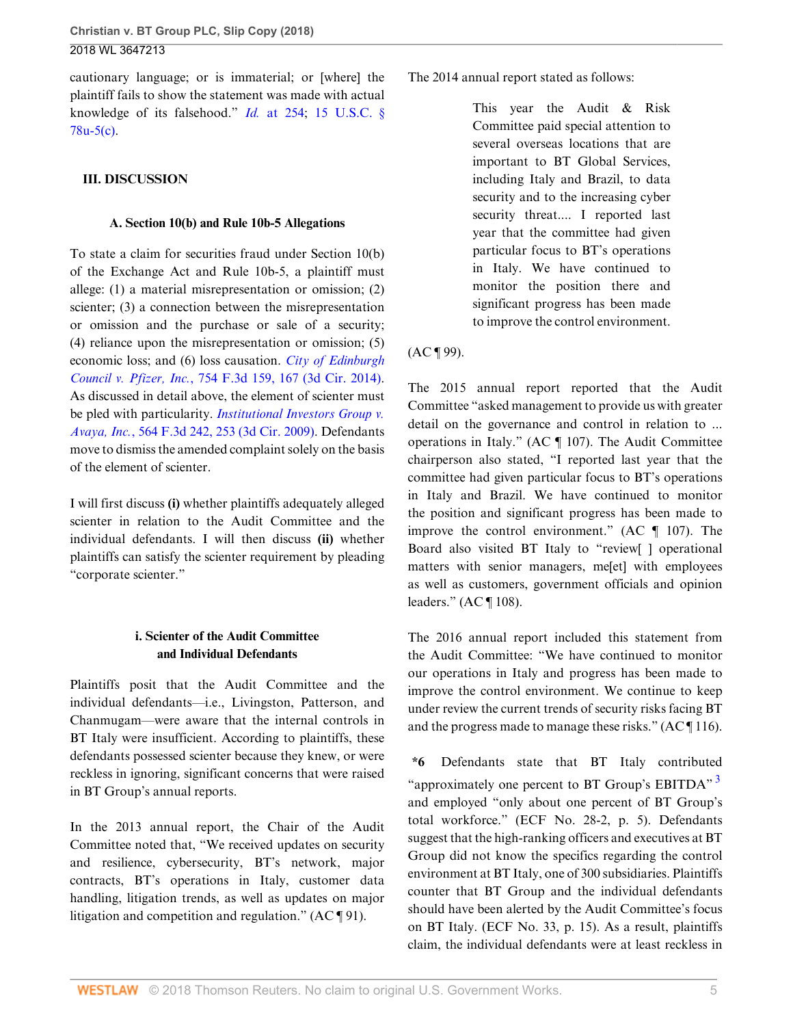cautionary language; or is immaterial; or [where] the plaintiff fails to show the statement was made with actual knowledge of its falsehood." *Id.* [at 254](http://www.westlaw.com/Link/Document/FullText?findType=Y&serNum=2018718553&pubNum=0000506&originatingDoc=Ie5d2d7f0963a11e89b71ea0c471daf33&refType=RP&fi=co_pp_sp_506_254&originationContext=document&vr=3.0&rs=cblt1.0&transitionType=DocumentItem&contextData=(sc.UserEnteredCitation)#co_pp_sp_506_254); [15 U.S.C. §](http://www.westlaw.com/Link/Document/FullText?findType=L&pubNum=1000546&cite=15USCAS78U-5&originatingDoc=Ie5d2d7f0963a11e89b71ea0c471daf33&refType=RB&originationContext=document&vr=3.0&rs=cblt1.0&transitionType=DocumentItem&contextData=(sc.UserEnteredCitation)#co_pp_4b24000003ba5) [78u-5\(c\).](http://www.westlaw.com/Link/Document/FullText?findType=L&pubNum=1000546&cite=15USCAS78U-5&originatingDoc=Ie5d2d7f0963a11e89b71ea0c471daf33&refType=RB&originationContext=document&vr=3.0&rs=cblt1.0&transitionType=DocumentItem&contextData=(sc.UserEnteredCitation)#co_pp_4b24000003ba5)

# **III. DISCUSSION**

## **A. Section 10(b) and Rule 10b-5 Allegations**

To state a claim for securities fraud under Section 10(b) of the Exchange Act and Rule 10b-5, a plaintiff must allege: (1) a material misrepresentation or omission; (2) scienter; (3) a connection between the misrepresentation or omission and the purchase or sale of a security; (4) reliance upon the misrepresentation or omission; (5) economic loss; and (6) loss causation. *[City of Edinburgh](http://www.westlaw.com/Link/Document/FullText?findType=Y&serNum=2033528774&pubNum=0000506&originatingDoc=Ie5d2d7f0963a11e89b71ea0c471daf33&refType=RP&fi=co_pp_sp_506_167&originationContext=document&vr=3.0&rs=cblt1.0&transitionType=DocumentItem&contextData=(sc.UserEnteredCitation)#co_pp_sp_506_167) Council v. Pfizer, Inc.*[, 754 F.3d 159, 167 \(3d Cir. 2014\)](http://www.westlaw.com/Link/Document/FullText?findType=Y&serNum=2033528774&pubNum=0000506&originatingDoc=Ie5d2d7f0963a11e89b71ea0c471daf33&refType=RP&fi=co_pp_sp_506_167&originationContext=document&vr=3.0&rs=cblt1.0&transitionType=DocumentItem&contextData=(sc.UserEnteredCitation)#co_pp_sp_506_167). As discussed in detail above, the element of scienter must be pled with particularity. *[Institutional Investors Group v.](http://www.westlaw.com/Link/Document/FullText?findType=Y&serNum=2018718553&pubNum=0000506&originatingDoc=Ie5d2d7f0963a11e89b71ea0c471daf33&refType=RP&fi=co_pp_sp_506_253&originationContext=document&vr=3.0&rs=cblt1.0&transitionType=DocumentItem&contextData=(sc.UserEnteredCitation)#co_pp_sp_506_253) Avaya, Inc.*[, 564 F.3d 242, 253 \(3d Cir. 2009\).](http://www.westlaw.com/Link/Document/FullText?findType=Y&serNum=2018718553&pubNum=0000506&originatingDoc=Ie5d2d7f0963a11e89b71ea0c471daf33&refType=RP&fi=co_pp_sp_506_253&originationContext=document&vr=3.0&rs=cblt1.0&transitionType=DocumentItem&contextData=(sc.UserEnteredCitation)#co_pp_sp_506_253) Defendants move to dismiss the amended complaint solely on the basis of the element of scienter.

I will first discuss **(i)** whether plaintiffs adequately alleged scienter in relation to the Audit Committee and the individual defendants. I will then discuss **(ii)** whether plaintiffs can satisfy the scienter requirement by pleading "corporate scienter."

# **i. Scienter of the Audit Committee and Individual Defendants**

Plaintiffs posit that the Audit Committee and the individual defendants—i.e., Livingston, Patterson, and Chanmugam—were aware that the internal controls in BT Italy were insufficient. According to plaintiffs, these defendants possessed scienter because they knew, or were reckless in ignoring, significant concerns that were raised in BT Group's annual reports.

In the 2013 annual report, the Chair of the Audit Committee noted that, "We received updates on security and resilience, cybersecurity, BT's network, major contracts, BT's operations in Italy, customer data handling, litigation trends, as well as updates on major litigation and competition and regulation." (AC ¶ 91).

The 2014 annual report stated as follows:

This year the Audit & Risk Committee paid special attention to several overseas locations that are important to BT Global Services, including Italy and Brazil, to data security and to the increasing cyber security threat.... I reported last year that the committee had given particular focus to BT's operations in Italy. We have continued to monitor the position there and significant progress has been made to improve the control environment.

# $(AC \, \P \, 99)$ .

The 2015 annual report reported that the Audit Committee "asked management to provide us with greater detail on the governance and control in relation to ... operations in Italy." (AC ¶ 107). The Audit Committee chairperson also stated, "I reported last year that the committee had given particular focus to BT's operations in Italy and Brazil. We have continued to monitor the position and significant progress has been made to improve the control environment." (AC ¶ 107). The Board also visited BT Italy to "review[ ] operational matters with senior managers, me[et] with employees as well as customers, government officials and opinion leaders." (AC ¶ 108).

The 2016 annual report included this statement from the Audit Committee: "We have continued to monitor our operations in Italy and progress has been made to improve the control environment. We continue to keep under review the current trends of security risks facing BT and the progress made to manage these risks." (AC ¶ 116).

<span id="page-4-0"></span>**\*6** Defendants state that BT Italy contributed "approximately one percent to BT Group's EBITDA" $^3$  $^3$ and employed "only about one percent of BT Group's total workforce." (ECF No. 28-2, p. 5). Defendants suggest that the high-ranking officers and executives at BT Group did not know the specifics regarding the control environment at BT Italy, one of 300 subsidiaries. Plaintiffs counter that BT Group and the individual defendants should have been alerted by the Audit Committee's focus on BT Italy. (ECF No. 33, p. 15). As a result, plaintiffs claim, the individual defendants were at least reckless in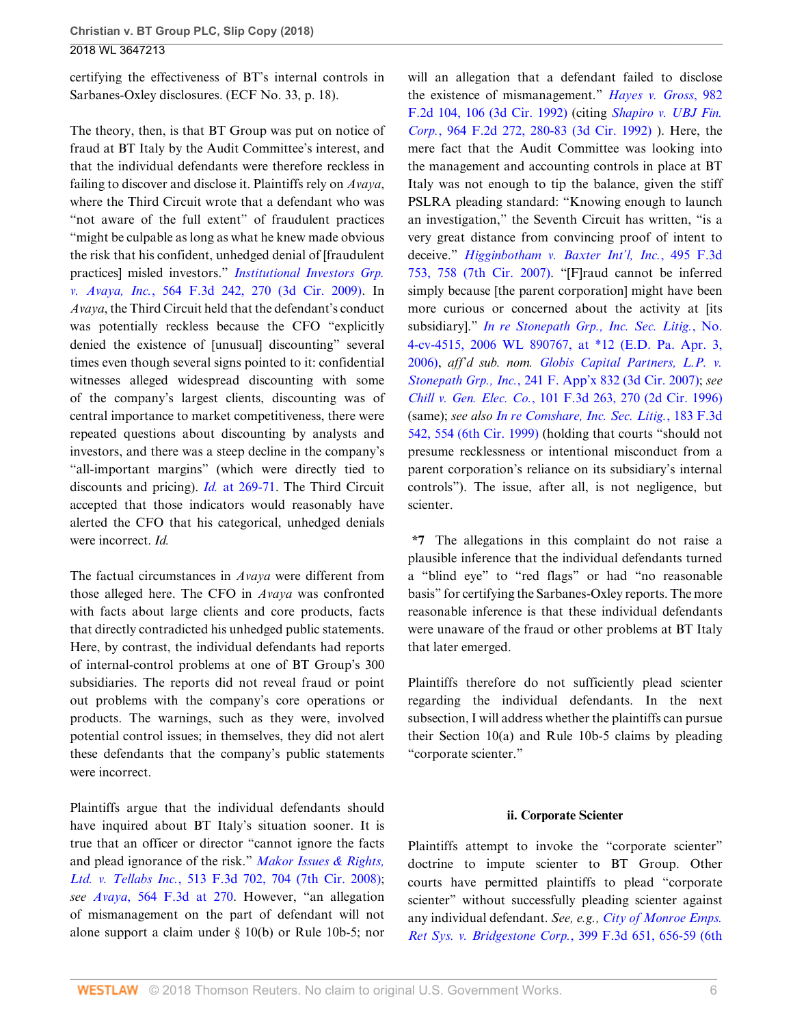certifying the effectiveness of BT's internal controls in Sarbanes-Oxley disclosures. (ECF No. 33, p. 18).

The theory, then, is that BT Group was put on notice of fraud at BT Italy by the Audit Committee's interest, and that the individual defendants were therefore reckless in failing to discover and disclose it. Plaintiffs rely on *Avaya*, where the Third Circuit wrote that a defendant who was "not aware of the full extent" of fraudulent practices "might be culpable as long as what he knew made obvious the risk that his confident, unhedged denial of [fraudulent practices] misled investors." *[Institutional Investors Grp.](http://www.westlaw.com/Link/Document/FullText?findType=Y&serNum=2018718553&pubNum=0000506&originatingDoc=Ie5d2d7f0963a11e89b71ea0c471daf33&refType=RP&fi=co_pp_sp_506_270&originationContext=document&vr=3.0&rs=cblt1.0&transitionType=DocumentItem&contextData=(sc.UserEnteredCitation)#co_pp_sp_506_270) v. Avaya, Inc.*[, 564 F.3d 242, 270 \(3d Cir. 2009\)](http://www.westlaw.com/Link/Document/FullText?findType=Y&serNum=2018718553&pubNum=0000506&originatingDoc=Ie5d2d7f0963a11e89b71ea0c471daf33&refType=RP&fi=co_pp_sp_506_270&originationContext=document&vr=3.0&rs=cblt1.0&transitionType=DocumentItem&contextData=(sc.UserEnteredCitation)#co_pp_sp_506_270). In *Avaya*, the Third Circuit held that the defendant's conduct was potentially reckless because the CFO "explicitly denied the existence of [unusual] discounting" several times even though several signs pointed to it: confidential witnesses alleged widespread discounting with some of the company's largest clients, discounting was of central importance to market competitiveness, there were repeated questions about discounting by analysts and investors, and there was a steep decline in the company's "all-important margins" (which were directly tied to discounts and pricing). *Id.* [at 269-71.](http://www.westlaw.com/Link/Document/FullText?findType=Y&serNum=2018718553&pubNum=0000506&originatingDoc=Ie5d2d7f0963a11e89b71ea0c471daf33&refType=RP&fi=co_pp_sp_506_269&originationContext=document&vr=3.0&rs=cblt1.0&transitionType=DocumentItem&contextData=(sc.UserEnteredCitation)#co_pp_sp_506_269) The Third Circuit accepted that those indicators would reasonably have alerted the CFO that his categorical, unhedged denials were incorrect. *Id.*

The factual circumstances in *Avaya* were different from those alleged here. The CFO in *Avaya* was confronted with facts about large clients and core products, facts that directly contradicted his unhedged public statements. Here, by contrast, the individual defendants had reports of internal-control problems at one of BT Group's 300 subsidiaries. The reports did not reveal fraud or point out problems with the company's core operations or products. The warnings, such as they were, involved potential control issues; in themselves, they did not alert these defendants that the company's public statements were incorrect.

Plaintiffs argue that the individual defendants should have inquired about BT Italy's situation sooner. It is true that an officer or director "cannot ignore the facts and plead ignorance of the risk." *[Makor Issues & Rights,](http://www.westlaw.com/Link/Document/FullText?findType=Y&serNum=2014754943&pubNum=0000506&originatingDoc=Ie5d2d7f0963a11e89b71ea0c471daf33&refType=RP&fi=co_pp_sp_506_704&originationContext=document&vr=3.0&rs=cblt1.0&transitionType=DocumentItem&contextData=(sc.UserEnteredCitation)#co_pp_sp_506_704) Ltd. v. Tellabs Inc.*[, 513 F.3d 702, 704 \(7th Cir. 2008\)](http://www.westlaw.com/Link/Document/FullText?findType=Y&serNum=2014754943&pubNum=0000506&originatingDoc=Ie5d2d7f0963a11e89b71ea0c471daf33&refType=RP&fi=co_pp_sp_506_704&originationContext=document&vr=3.0&rs=cblt1.0&transitionType=DocumentItem&contextData=(sc.UserEnteredCitation)#co_pp_sp_506_704); *see Avaya*[, 564 F.3d at 270](http://www.westlaw.com/Link/Document/FullText?findType=Y&serNum=2018718553&pubNum=0000506&originatingDoc=Ie5d2d7f0963a11e89b71ea0c471daf33&refType=RP&fi=co_pp_sp_506_270&originationContext=document&vr=3.0&rs=cblt1.0&transitionType=DocumentItem&contextData=(sc.UserEnteredCitation)#co_pp_sp_506_270). However, "an allegation of mismanagement on the part of defendant will not alone support a claim under § 10(b) or Rule 10b-5; nor will an allegation that a defendant failed to disclose the existence of mismanagement." *[Hayes v. Gross](http://www.westlaw.com/Link/Document/FullText?findType=Y&serNum=1992222422&pubNum=0000350&originatingDoc=Ie5d2d7f0963a11e89b71ea0c471daf33&refType=RP&fi=co_pp_sp_350_106&originationContext=document&vr=3.0&rs=cblt1.0&transitionType=DocumentItem&contextData=(sc.UserEnteredCitation)#co_pp_sp_350_106)*, 982 [F.2d 104, 106 \(3d Cir. 1992\)](http://www.westlaw.com/Link/Document/FullText?findType=Y&serNum=1992222422&pubNum=0000350&originatingDoc=Ie5d2d7f0963a11e89b71ea0c471daf33&refType=RP&fi=co_pp_sp_350_106&originationContext=document&vr=3.0&rs=cblt1.0&transitionType=DocumentItem&contextData=(sc.UserEnteredCitation)#co_pp_sp_350_106) (citing *[Shapiro v. UBJ Fin.](http://www.westlaw.com/Link/Document/FullText?findType=Y&serNum=1992094035&pubNum=0000350&originatingDoc=Ie5d2d7f0963a11e89b71ea0c471daf33&refType=RP&fi=co_pp_sp_350_280&originationContext=document&vr=3.0&rs=cblt1.0&transitionType=DocumentItem&contextData=(sc.UserEnteredCitation)#co_pp_sp_350_280) Corp.*[, 964 F.2d 272, 280-83 \(3d Cir. 1992\)](http://www.westlaw.com/Link/Document/FullText?findType=Y&serNum=1992094035&pubNum=0000350&originatingDoc=Ie5d2d7f0963a11e89b71ea0c471daf33&refType=RP&fi=co_pp_sp_350_280&originationContext=document&vr=3.0&rs=cblt1.0&transitionType=DocumentItem&contextData=(sc.UserEnteredCitation)#co_pp_sp_350_280) ). Here, the mere fact that the Audit Committee was looking into the management and accounting controls in place at BT Italy was not enough to tip the balance, given the stiff PSLRA pleading standard: "Knowing enough to launch an investigation," the Seventh Circuit has written, "is a very great distance from convincing proof of intent to deceive." *[Higginbotham v. Baxter Int'l, Inc.](http://www.westlaw.com/Link/Document/FullText?findType=Y&serNum=2012793883&pubNum=0000506&originatingDoc=Ie5d2d7f0963a11e89b71ea0c471daf33&refType=RP&fi=co_pp_sp_506_758&originationContext=document&vr=3.0&rs=cblt1.0&transitionType=DocumentItem&contextData=(sc.UserEnteredCitation)#co_pp_sp_506_758)*, 495 F.3d [753, 758 \(7th Cir. 2007\)](http://www.westlaw.com/Link/Document/FullText?findType=Y&serNum=2012793883&pubNum=0000506&originatingDoc=Ie5d2d7f0963a11e89b71ea0c471daf33&refType=RP&fi=co_pp_sp_506_758&originationContext=document&vr=3.0&rs=cblt1.0&transitionType=DocumentItem&contextData=(sc.UserEnteredCitation)#co_pp_sp_506_758). "[F]raud cannot be inferred simply because [the parent corporation] might have been more curious or concerned about the activity at [its subsidiary]." *[In re Stonepath Grp., Inc. Sec. Litig.](http://www.westlaw.com/Link/Document/FullText?findType=Y&serNum=2008877938&pubNum=0000999&originatingDoc=Ie5d2d7f0963a11e89b71ea0c471daf33&refType=RP&originationContext=document&vr=3.0&rs=cblt1.0&transitionType=DocumentItem&contextData=(sc.UserEnteredCitation))*, No. [4-cv-4515, 2006 WL 890767, at \\*12 \(E.D. Pa. Apr. 3,](http://www.westlaw.com/Link/Document/FullText?findType=Y&serNum=2008877938&pubNum=0000999&originatingDoc=Ie5d2d7f0963a11e89b71ea0c471daf33&refType=RP&originationContext=document&vr=3.0&rs=cblt1.0&transitionType=DocumentItem&contextData=(sc.UserEnteredCitation)) [2006\)](http://www.westlaw.com/Link/Document/FullText?findType=Y&serNum=2008877938&pubNum=0000999&originatingDoc=Ie5d2d7f0963a11e89b71ea0c471daf33&refType=RP&originationContext=document&vr=3.0&rs=cblt1.0&transitionType=DocumentItem&contextData=(sc.UserEnteredCitation)), *aff'd sub. nom. [Globis Capital Partners, L.P. v.](http://www.westlaw.com/Link/Document/FullText?findType=Y&serNum=2012664717&pubNum=0006538&originatingDoc=Ie5d2d7f0963a11e89b71ea0c471daf33&refType=RP&originationContext=document&vr=3.0&rs=cblt1.0&transitionType=DocumentItem&contextData=(sc.UserEnteredCitation)) Stonepath Grp., Inc.*[, 241 F. App'x 832 \(3d Cir. 2007\)](http://www.westlaw.com/Link/Document/FullText?findType=Y&serNum=2012664717&pubNum=0006538&originatingDoc=Ie5d2d7f0963a11e89b71ea0c471daf33&refType=RP&originationContext=document&vr=3.0&rs=cblt1.0&transitionType=DocumentItem&contextData=(sc.UserEnteredCitation)); *see Chill v. Gen. Elec. Co.*[, 101 F.3d 263, 270 \(2d Cir. 1996\)](http://www.westlaw.com/Link/Document/FullText?findType=Y&serNum=1996264170&pubNum=0000506&originatingDoc=Ie5d2d7f0963a11e89b71ea0c471daf33&refType=RP&fi=co_pp_sp_506_270&originationContext=document&vr=3.0&rs=cblt1.0&transitionType=DocumentItem&contextData=(sc.UserEnteredCitation)#co_pp_sp_506_270) (same); *see also [In re Comshare, Inc. Sec. Litig.](http://www.westlaw.com/Link/Document/FullText?findType=Y&serNum=1999159526&pubNum=0000506&originatingDoc=Ie5d2d7f0963a11e89b71ea0c471daf33&refType=RP&fi=co_pp_sp_506_554&originationContext=document&vr=3.0&rs=cblt1.0&transitionType=DocumentItem&contextData=(sc.UserEnteredCitation)#co_pp_sp_506_554)*, 183 F.3d [542, 554 \(6th Cir. 1999\)](http://www.westlaw.com/Link/Document/FullText?findType=Y&serNum=1999159526&pubNum=0000506&originatingDoc=Ie5d2d7f0963a11e89b71ea0c471daf33&refType=RP&fi=co_pp_sp_506_554&originationContext=document&vr=3.0&rs=cblt1.0&transitionType=DocumentItem&contextData=(sc.UserEnteredCitation)#co_pp_sp_506_554) (holding that courts "should not presume recklessness or intentional misconduct from a parent corporation's reliance on its subsidiary's internal controls"). The issue, after all, is not negligence, but scienter.

**\*7** The allegations in this complaint do not raise a plausible inference that the individual defendants turned a "blind eye" to "red flags" or had "no reasonable basis" for certifying the Sarbanes-Oxley reports. The more reasonable inference is that these individual defendants were unaware of the fraud or other problems at BT Italy that later emerged.

Plaintiffs therefore do not sufficiently plead scienter regarding the individual defendants. In the next subsection, I will address whether the plaintiffs can pursue their Section 10(a) and Rule 10b-5 claims by pleading "corporate scienter."

#### **ii. Corporate Scienter**

Plaintiffs attempt to invoke the "corporate scienter" doctrine to impute scienter to BT Group. Other courts have permitted plaintiffs to plead "corporate scienter" without successfully pleading scienter against any individual defendant. *See, e.g., [City of Monroe Emps.](http://www.westlaw.com/Link/Document/FullText?findType=Y&serNum=2006184445&pubNum=0000506&originatingDoc=Ie5d2d7f0963a11e89b71ea0c471daf33&refType=RP&fi=co_pp_sp_506_656&originationContext=document&vr=3.0&rs=cblt1.0&transitionType=DocumentItem&contextData=(sc.UserEnteredCitation)#co_pp_sp_506_656) [Ret Sys. v. Bridgestone Corp.](http://www.westlaw.com/Link/Document/FullText?findType=Y&serNum=2006184445&pubNum=0000506&originatingDoc=Ie5d2d7f0963a11e89b71ea0c471daf33&refType=RP&fi=co_pp_sp_506_656&originationContext=document&vr=3.0&rs=cblt1.0&transitionType=DocumentItem&contextData=(sc.UserEnteredCitation)#co_pp_sp_506_656)*, 399 F.3d 651, 656-59 (6th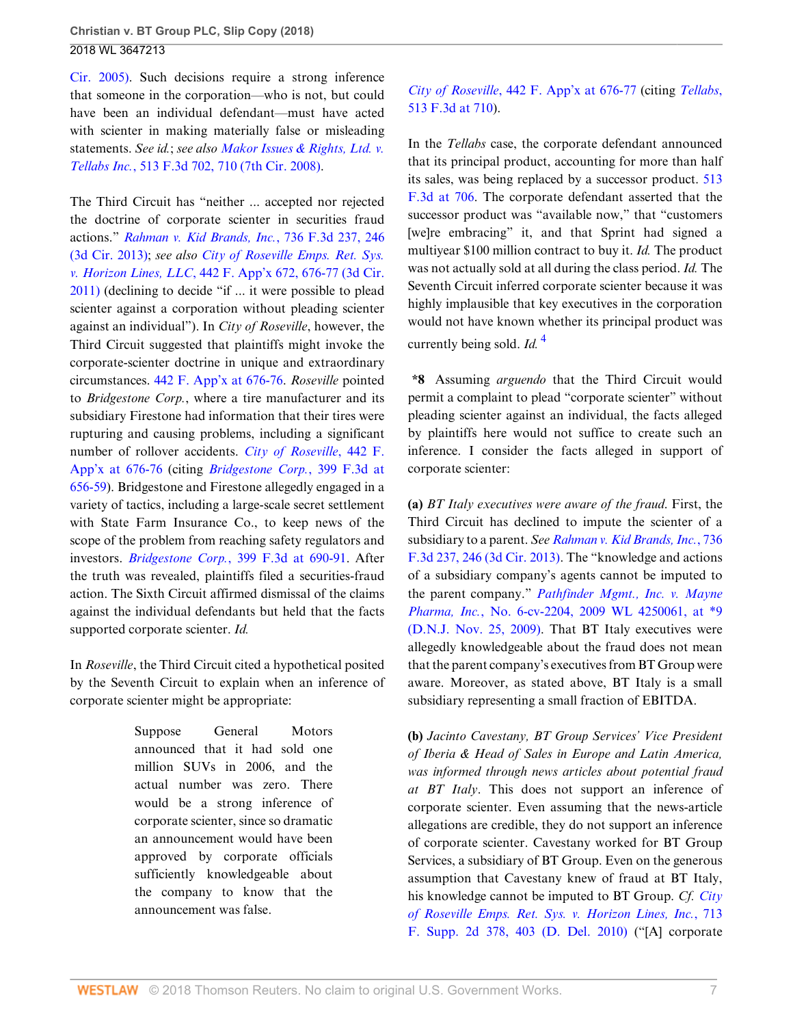[Cir. 2005\).](http://www.westlaw.com/Link/Document/FullText?findType=Y&serNum=2006184445&pubNum=0000506&originatingDoc=Ie5d2d7f0963a11e89b71ea0c471daf33&refType=RP&fi=co_pp_sp_506_656&originationContext=document&vr=3.0&rs=cblt1.0&transitionType=DocumentItem&contextData=(sc.UserEnteredCitation)#co_pp_sp_506_656) Such decisions require a strong inference that someone in the corporation—who is not, but could have been an individual defendant—must have acted with scienter in making materially false or misleading statements. *See id.*; *see also [Makor Issues & Rights, Ltd. v.](http://www.westlaw.com/Link/Document/FullText?findType=Y&serNum=2014754943&pubNum=0000506&originatingDoc=Ie5d2d7f0963a11e89b71ea0c471daf33&refType=RP&fi=co_pp_sp_506_710&originationContext=document&vr=3.0&rs=cblt1.0&transitionType=DocumentItem&contextData=(sc.UserEnteredCitation)#co_pp_sp_506_710) Tellabs Inc.*[, 513 F.3d 702, 710 \(7th Cir. 2008\).](http://www.westlaw.com/Link/Document/FullText?findType=Y&serNum=2014754943&pubNum=0000506&originatingDoc=Ie5d2d7f0963a11e89b71ea0c471daf33&refType=RP&fi=co_pp_sp_506_710&originationContext=document&vr=3.0&rs=cblt1.0&transitionType=DocumentItem&contextData=(sc.UserEnteredCitation)#co_pp_sp_506_710)

The Third Circuit has "neither ... accepted nor rejected the doctrine of corporate scienter in securities fraud actions." *[Rahman v. Kid Brands, Inc.](http://www.westlaw.com/Link/Document/FullText?findType=Y&serNum=2031966328&pubNum=0000506&originatingDoc=Ie5d2d7f0963a11e89b71ea0c471daf33&refType=RP&fi=co_pp_sp_506_246&originationContext=document&vr=3.0&rs=cblt1.0&transitionType=DocumentItem&contextData=(sc.UserEnteredCitation)#co_pp_sp_506_246)*, 736 F.3d 237, 246 [\(3d Cir. 2013\)](http://www.westlaw.com/Link/Document/FullText?findType=Y&serNum=2031966328&pubNum=0000506&originatingDoc=Ie5d2d7f0963a11e89b71ea0c471daf33&refType=RP&fi=co_pp_sp_506_246&originationContext=document&vr=3.0&rs=cblt1.0&transitionType=DocumentItem&contextData=(sc.UserEnteredCitation)#co_pp_sp_506_246); *see also [City of Roseville Emps. Ret. Sys.](http://www.westlaw.com/Link/Document/FullText?findType=Y&serNum=2025926554&pubNum=0006538&originatingDoc=Ie5d2d7f0963a11e89b71ea0c471daf33&refType=RP&fi=co_pp_sp_6538_676&originationContext=document&vr=3.0&rs=cblt1.0&transitionType=DocumentItem&contextData=(sc.UserEnteredCitation)#co_pp_sp_6538_676) v. Horizon Lines, LLC*[, 442 F. App'x 672, 676-77 \(3d Cir.](http://www.westlaw.com/Link/Document/FullText?findType=Y&serNum=2025926554&pubNum=0006538&originatingDoc=Ie5d2d7f0963a11e89b71ea0c471daf33&refType=RP&fi=co_pp_sp_6538_676&originationContext=document&vr=3.0&rs=cblt1.0&transitionType=DocumentItem&contextData=(sc.UserEnteredCitation)#co_pp_sp_6538_676) [2011\)](http://www.westlaw.com/Link/Document/FullText?findType=Y&serNum=2025926554&pubNum=0006538&originatingDoc=Ie5d2d7f0963a11e89b71ea0c471daf33&refType=RP&fi=co_pp_sp_6538_676&originationContext=document&vr=3.0&rs=cblt1.0&transitionType=DocumentItem&contextData=(sc.UserEnteredCitation)#co_pp_sp_6538_676) (declining to decide "if ... it were possible to plead scienter against a corporation without pleading scienter against an individual"). In *City of Roseville*, however, the Third Circuit suggested that plaintiffs might invoke the corporate-scienter doctrine in unique and extraordinary circumstances. [442 F. App'x at 676-76.](http://www.westlaw.com/Link/Document/FullText?findType=Y&serNum=2025926554&pubNum=0006538&originatingDoc=Ie5d2d7f0963a11e89b71ea0c471daf33&refType=RP&fi=co_pp_sp_6538_676&originationContext=document&vr=3.0&rs=cblt1.0&transitionType=DocumentItem&contextData=(sc.UserEnteredCitation)#co_pp_sp_6538_676) *Roseville* pointed to *Bridgestone Corp.*, where a tire manufacturer and its subsidiary Firestone had information that their tires were rupturing and causing problems, including a significant number of rollover accidents. *[City of Roseville](http://www.westlaw.com/Link/Document/FullText?findType=Y&serNum=2025926554&pubNum=0006538&originatingDoc=Ie5d2d7f0963a11e89b71ea0c471daf33&refType=RP&fi=co_pp_sp_6538_676&originationContext=document&vr=3.0&rs=cblt1.0&transitionType=DocumentItem&contextData=(sc.UserEnteredCitation)#co_pp_sp_6538_676)*, 442 F. [App'x at 676-76](http://www.westlaw.com/Link/Document/FullText?findType=Y&serNum=2025926554&pubNum=0006538&originatingDoc=Ie5d2d7f0963a11e89b71ea0c471daf33&refType=RP&fi=co_pp_sp_6538_676&originationContext=document&vr=3.0&rs=cblt1.0&transitionType=DocumentItem&contextData=(sc.UserEnteredCitation)#co_pp_sp_6538_676) (citing *[Bridgestone Corp.](http://www.westlaw.com/Link/Document/FullText?findType=Y&serNum=2006184445&pubNum=0000506&originatingDoc=Ie5d2d7f0963a11e89b71ea0c471daf33&refType=RP&fi=co_pp_sp_506_656&originationContext=document&vr=3.0&rs=cblt1.0&transitionType=DocumentItem&contextData=(sc.UserEnteredCitation)#co_pp_sp_506_656)*, 399 F.3d at [656-59](http://www.westlaw.com/Link/Document/FullText?findType=Y&serNum=2006184445&pubNum=0000506&originatingDoc=Ie5d2d7f0963a11e89b71ea0c471daf33&refType=RP&fi=co_pp_sp_506_656&originationContext=document&vr=3.0&rs=cblt1.0&transitionType=DocumentItem&contextData=(sc.UserEnteredCitation)#co_pp_sp_506_656)). Bridgestone and Firestone allegedly engaged in a variety of tactics, including a large-scale secret settlement with State Farm Insurance Co., to keep news of the scope of the problem from reaching safety regulators and investors. *Bridgestone Corp.*[, 399 F.3d at 690-91](http://www.westlaw.com/Link/Document/FullText?findType=Y&serNum=2006184445&pubNum=0000506&originatingDoc=Ie5d2d7f0963a11e89b71ea0c471daf33&refType=RP&fi=co_pp_sp_506_690&originationContext=document&vr=3.0&rs=cblt1.0&transitionType=DocumentItem&contextData=(sc.UserEnteredCitation)#co_pp_sp_506_690). After the truth was revealed, plaintiffs filed a securities-fraud action. The Sixth Circuit affirmed dismissal of the claims against the individual defendants but held that the facts supported corporate scienter. *Id.*

In *Roseville*, the Third Circuit cited a hypothetical posited by the Seventh Circuit to explain when an inference of corporate scienter might be appropriate:

> Suppose General Motors announced that it had sold one million SUVs in 2006, and the actual number was zero. There would be a strong inference of corporate scienter, since so dramatic an announcement would have been approved by corporate officials sufficiently knowledgeable about the company to know that the announcement was false.

# *City of Roseville*[, 442 F. App'x at 676-77](http://www.westlaw.com/Link/Document/FullText?findType=Y&serNum=2025926554&pubNum=0006538&originatingDoc=Ie5d2d7f0963a11e89b71ea0c471daf33&refType=RP&fi=co_pp_sp_6538_676&originationContext=document&vr=3.0&rs=cblt1.0&transitionType=DocumentItem&contextData=(sc.UserEnteredCitation)#co_pp_sp_6538_676) (citing *[Tellabs](http://www.westlaw.com/Link/Document/FullText?findType=Y&serNum=2014754943&pubNum=0000506&originatingDoc=Ie5d2d7f0963a11e89b71ea0c471daf33&refType=RP&fi=co_pp_sp_506_710&originationContext=document&vr=3.0&rs=cblt1.0&transitionType=DocumentItem&contextData=(sc.UserEnteredCitation)#co_pp_sp_506_710)*, [513 F.3d at 710\)](http://www.westlaw.com/Link/Document/FullText?findType=Y&serNum=2014754943&pubNum=0000506&originatingDoc=Ie5d2d7f0963a11e89b71ea0c471daf33&refType=RP&fi=co_pp_sp_506_710&originationContext=document&vr=3.0&rs=cblt1.0&transitionType=DocumentItem&contextData=(sc.UserEnteredCitation)#co_pp_sp_506_710).

In the *Tellabs* case, the corporate defendant announced that its principal product, accounting for more than half its sales, was being replaced by a successor product. [513](http://www.westlaw.com/Link/Document/FullText?findType=Y&serNum=2014754943&pubNum=0000506&originatingDoc=Ie5d2d7f0963a11e89b71ea0c471daf33&refType=RP&fi=co_pp_sp_506_706&originationContext=document&vr=3.0&rs=cblt1.0&transitionType=DocumentItem&contextData=(sc.UserEnteredCitation)#co_pp_sp_506_706) [F.3d at 706](http://www.westlaw.com/Link/Document/FullText?findType=Y&serNum=2014754943&pubNum=0000506&originatingDoc=Ie5d2d7f0963a11e89b71ea0c471daf33&refType=RP&fi=co_pp_sp_506_706&originationContext=document&vr=3.0&rs=cblt1.0&transitionType=DocumentItem&contextData=(sc.UserEnteredCitation)#co_pp_sp_506_706). The corporate defendant asserted that the successor product was "available now," that "customers [we]re embracing" it, and that Sprint had signed a multiyear \$100 million contract to buy it. *Id.* The product was not actually sold at all during the class period. *Id.* The Seventh Circuit inferred corporate scienter because it was highly implausible that key executives in the corporation would not have known whether its principal product was currently being sold. *Id.* [4](#page-8-3)

<span id="page-6-0"></span>**\*8** Assuming *arguendo* that the Third Circuit would permit a complaint to plead "corporate scienter" without pleading scienter against an individual, the facts alleged by plaintiffs here would not suffice to create such an inference. I consider the facts alleged in support of corporate scienter:

**(a)** *BT Italy executives were aware of the fraud*. First, the Third Circuit has declined to impute the scienter of a subsidiary to a parent. *See [Rahman v. Kid Brands, Inc.](http://www.westlaw.com/Link/Document/FullText?findType=Y&serNum=2031966328&pubNum=0000506&originatingDoc=Ie5d2d7f0963a11e89b71ea0c471daf33&refType=RP&fi=co_pp_sp_506_246&originationContext=document&vr=3.0&rs=cblt1.0&transitionType=DocumentItem&contextData=(sc.UserEnteredCitation)#co_pp_sp_506_246)*, 736 [F.3d 237, 246 \(3d Cir. 2013\).](http://www.westlaw.com/Link/Document/FullText?findType=Y&serNum=2031966328&pubNum=0000506&originatingDoc=Ie5d2d7f0963a11e89b71ea0c471daf33&refType=RP&fi=co_pp_sp_506_246&originationContext=document&vr=3.0&rs=cblt1.0&transitionType=DocumentItem&contextData=(sc.UserEnteredCitation)#co_pp_sp_506_246) The "knowledge and actions of a subsidiary company's agents cannot be imputed to the parent company." *[Pathfinder Mgmt., Inc. v. Mayne](http://www.westlaw.com/Link/Document/FullText?findType=Y&serNum=2020561811&pubNum=0000999&originatingDoc=Ie5d2d7f0963a11e89b71ea0c471daf33&refType=RP&originationContext=document&vr=3.0&rs=cblt1.0&transitionType=DocumentItem&contextData=(sc.UserEnteredCitation)) Pharma, Inc.*[, No. 6-cv-2204, 2009 WL 4250061, at \\*9](http://www.westlaw.com/Link/Document/FullText?findType=Y&serNum=2020561811&pubNum=0000999&originatingDoc=Ie5d2d7f0963a11e89b71ea0c471daf33&refType=RP&originationContext=document&vr=3.0&rs=cblt1.0&transitionType=DocumentItem&contextData=(sc.UserEnteredCitation)) [\(D.N.J. Nov. 25, 2009\).](http://www.westlaw.com/Link/Document/FullText?findType=Y&serNum=2020561811&pubNum=0000999&originatingDoc=Ie5d2d7f0963a11e89b71ea0c471daf33&refType=RP&originationContext=document&vr=3.0&rs=cblt1.0&transitionType=DocumentItem&contextData=(sc.UserEnteredCitation)) That BT Italy executives were allegedly knowledgeable about the fraud does not mean that the parent company's executives from BT Group were aware. Moreover, as stated above, BT Italy is a small subsidiary representing a small fraction of EBITDA.

**(b)** *Jacinto Cavestany, BT Group Services' Vice President of Iberia & Head of Sales in Europe and Latin America, was informed through news articles about potential fraud at BT Italy*. This does not support an inference of corporate scienter. Even assuming that the news-article allegations are credible, they do not support an inference of corporate scienter. Cavestany worked for BT Group Services, a subsidiary of BT Group. Even on the generous assumption that Cavestany knew of fraud at BT Italy, his knowledge cannot be imputed to BT Group. *Cf. [City](http://www.westlaw.com/Link/Document/FullText?findType=Y&serNum=2022082355&pubNum=0004637&originatingDoc=Ie5d2d7f0963a11e89b71ea0c471daf33&refType=RP&fi=co_pp_sp_4637_403&originationContext=document&vr=3.0&rs=cblt1.0&transitionType=DocumentItem&contextData=(sc.UserEnteredCitation)#co_pp_sp_4637_403) [of Roseville Emps. Ret. Sys. v. Horizon Lines, Inc.](http://www.westlaw.com/Link/Document/FullText?findType=Y&serNum=2022082355&pubNum=0004637&originatingDoc=Ie5d2d7f0963a11e89b71ea0c471daf33&refType=RP&fi=co_pp_sp_4637_403&originationContext=document&vr=3.0&rs=cblt1.0&transitionType=DocumentItem&contextData=(sc.UserEnteredCitation)#co_pp_sp_4637_403)*, 713 [F. Supp. 2d 378, 403 \(D. Del. 2010\)](http://www.westlaw.com/Link/Document/FullText?findType=Y&serNum=2022082355&pubNum=0004637&originatingDoc=Ie5d2d7f0963a11e89b71ea0c471daf33&refType=RP&fi=co_pp_sp_4637_403&originationContext=document&vr=3.0&rs=cblt1.0&transitionType=DocumentItem&contextData=(sc.UserEnteredCitation)#co_pp_sp_4637_403) ("[A] corporate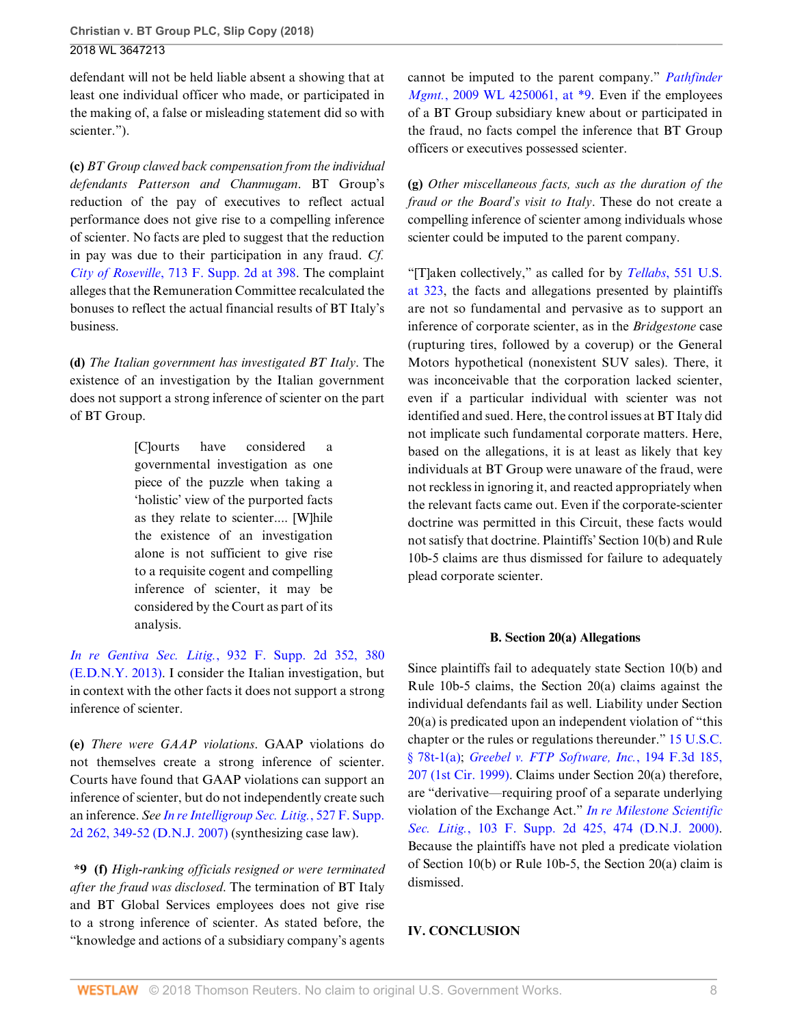defendant will not be held liable absent a showing that at least one individual officer who made, or participated in the making of, a false or misleading statement did so with scienter.").

**(c)** *BT Group clawed back compensation from the individual defendants Patterson and Chanmugam*. BT Group's reduction of the pay of executives to reflect actual performance does not give rise to a compelling inference of scienter. No facts are pled to suggest that the reduction in pay was due to their participation in any fraud. *Cf. City of Roseville*[, 713 F. Supp. 2d at 398.](http://www.westlaw.com/Link/Document/FullText?findType=Y&serNum=2022082355&pubNum=0004637&originatingDoc=Ie5d2d7f0963a11e89b71ea0c471daf33&refType=RP&fi=co_pp_sp_4637_398&originationContext=document&vr=3.0&rs=cblt1.0&transitionType=DocumentItem&contextData=(sc.UserEnteredCitation)#co_pp_sp_4637_398) The complaint alleges that the Remuneration Committee recalculated the bonuses to reflect the actual financial results of BT Italy's business.

**(d)** *The Italian government has investigated BT Italy*. The existence of an investigation by the Italian government does not support a strong inference of scienter on the part of BT Group.

> [C]ourts have considered a governmental investigation as one piece of the puzzle when taking a 'holistic' view of the purported facts as they relate to scienter.... [W]hile the existence of an investigation alone is not sufficient to give rise to a requisite cogent and compelling inference of scienter, it may be considered by the Court as part of its analysis.

*In re Gentiva Sec. Litig.*[, 932 F. Supp. 2d 352, 380](http://www.westlaw.com/Link/Document/FullText?findType=Y&serNum=2030215169&pubNum=0004637&originatingDoc=Ie5d2d7f0963a11e89b71ea0c471daf33&refType=RP&fi=co_pp_sp_4637_380&originationContext=document&vr=3.0&rs=cblt1.0&transitionType=DocumentItem&contextData=(sc.UserEnteredCitation)#co_pp_sp_4637_380) [\(E.D.N.Y. 2013\)](http://www.westlaw.com/Link/Document/FullText?findType=Y&serNum=2030215169&pubNum=0004637&originatingDoc=Ie5d2d7f0963a11e89b71ea0c471daf33&refType=RP&fi=co_pp_sp_4637_380&originationContext=document&vr=3.0&rs=cblt1.0&transitionType=DocumentItem&contextData=(sc.UserEnteredCitation)#co_pp_sp_4637_380). I consider the Italian investigation, but in context with the other facts it does not support a strong inference of scienter.

**(e)** *There were GAAP violations*. GAAP violations do not themselves create a strong inference of scienter. Courts have found that GAAP violations can support an inference of scienter, but do not independently create such an inference. *See [In re Intelligroup Sec. Litig.](http://www.westlaw.com/Link/Document/FullText?findType=Y&serNum=2014093378&pubNum=0004637&originatingDoc=Ie5d2d7f0963a11e89b71ea0c471daf33&refType=RP&fi=co_pp_sp_4637_349&originationContext=document&vr=3.0&rs=cblt1.0&transitionType=DocumentItem&contextData=(sc.UserEnteredCitation)#co_pp_sp_4637_349)*, 527 F. Supp. [2d 262, 349-52 \(D.N.J. 2007\)](http://www.westlaw.com/Link/Document/FullText?findType=Y&serNum=2014093378&pubNum=0004637&originatingDoc=Ie5d2d7f0963a11e89b71ea0c471daf33&refType=RP&fi=co_pp_sp_4637_349&originationContext=document&vr=3.0&rs=cblt1.0&transitionType=DocumentItem&contextData=(sc.UserEnteredCitation)#co_pp_sp_4637_349) (synthesizing case law).

**\*9 (f)** *High-ranking officials resigned or were terminated after the fraud was disclosed*. The termination of BT Italy and BT Global Services employees does not give rise to a strong inference of scienter. As stated before, the "knowledge and actions of a subsidiary company's agents

cannot be imputed to the parent company." *[Pathfinder](http://www.westlaw.com/Link/Document/FullText?findType=Y&serNum=2020561811&pubNum=0000999&originatingDoc=Ie5d2d7f0963a11e89b71ea0c471daf33&refType=RP&originationContext=document&vr=3.0&rs=cblt1.0&transitionType=DocumentItem&contextData=(sc.UserEnteredCitation)) Mgmt.*[, 2009 WL 4250061, at \\*9](http://www.westlaw.com/Link/Document/FullText?findType=Y&serNum=2020561811&pubNum=0000999&originatingDoc=Ie5d2d7f0963a11e89b71ea0c471daf33&refType=RP&originationContext=document&vr=3.0&rs=cblt1.0&transitionType=DocumentItem&contextData=(sc.UserEnteredCitation)). Even if the employees of a BT Group subsidiary knew about or participated in the fraud, no facts compel the inference that BT Group officers or executives possessed scienter.

**(g)** *Other miscellaneous facts, such as the duration of the fraud or the Board's visit to Italy*. These do not create a compelling inference of scienter among individuals whose scienter could be imputed to the parent company.

"[T]aken collectively," as called for by *Tellabs*[, 551 U.S.](http://www.westlaw.com/Link/Document/FullText?findType=Y&serNum=2012518448&pubNum=0000780&originatingDoc=Ie5d2d7f0963a11e89b71ea0c471daf33&refType=RP&fi=co_pp_sp_780_323&originationContext=document&vr=3.0&rs=cblt1.0&transitionType=DocumentItem&contextData=(sc.UserEnteredCitation)#co_pp_sp_780_323) [at 323](http://www.westlaw.com/Link/Document/FullText?findType=Y&serNum=2012518448&pubNum=0000780&originatingDoc=Ie5d2d7f0963a11e89b71ea0c471daf33&refType=RP&fi=co_pp_sp_780_323&originationContext=document&vr=3.0&rs=cblt1.0&transitionType=DocumentItem&contextData=(sc.UserEnteredCitation)#co_pp_sp_780_323), the facts and allegations presented by plaintiffs are not so fundamental and pervasive as to support an inference of corporate scienter, as in the *Bridgestone* case (rupturing tires, followed by a coverup) or the General Motors hypothetical (nonexistent SUV sales). There, it was inconceivable that the corporation lacked scienter, even if a particular individual with scienter was not identified and sued. Here, the control issues at BT Italy did not implicate such fundamental corporate matters. Here, based on the allegations, it is at least as likely that key individuals at BT Group were unaware of the fraud, were not reckless in ignoring it, and reacted appropriately when the relevant facts came out. Even if the corporate-scienter doctrine was permitted in this Circuit, these facts would not satisfy that doctrine. Plaintiffs' Section 10(b) and Rule 10b-5 claims are thus dismissed for failure to adequately plead corporate scienter.

## **B. Section 20(a) Allegations**

Since plaintiffs fail to adequately state Section 10(b) and Rule 10b-5 claims, the Section 20(a) claims against the individual defendants fail as well. Liability under Section 20(a) is predicated upon an independent violation of "this chapter or the rules or regulations thereunder." [15 U.S.C.](http://www.westlaw.com/Link/Document/FullText?findType=L&pubNum=1000546&cite=15USCAS78T-1&originatingDoc=Ie5d2d7f0963a11e89b71ea0c471daf33&refType=RB&originationContext=document&vr=3.0&rs=cblt1.0&transitionType=DocumentItem&contextData=(sc.UserEnteredCitation)#co_pp_8b3b0000958a4) [§ 78t-1\(a\);](http://www.westlaw.com/Link/Document/FullText?findType=L&pubNum=1000546&cite=15USCAS78T-1&originatingDoc=Ie5d2d7f0963a11e89b71ea0c471daf33&refType=RB&originationContext=document&vr=3.0&rs=cblt1.0&transitionType=DocumentItem&contextData=(sc.UserEnteredCitation)#co_pp_8b3b0000958a4) *[Greebel v. FTP Software, Inc.](http://www.westlaw.com/Link/Document/FullText?findType=Y&serNum=1999235506&pubNum=0000506&originatingDoc=Ie5d2d7f0963a11e89b71ea0c471daf33&refType=RP&fi=co_pp_sp_506_207&originationContext=document&vr=3.0&rs=cblt1.0&transitionType=DocumentItem&contextData=(sc.UserEnteredCitation)#co_pp_sp_506_207)*, 194 F.3d 185, [207 \(1st Cir. 1999\)](http://www.westlaw.com/Link/Document/FullText?findType=Y&serNum=1999235506&pubNum=0000506&originatingDoc=Ie5d2d7f0963a11e89b71ea0c471daf33&refType=RP&fi=co_pp_sp_506_207&originationContext=document&vr=3.0&rs=cblt1.0&transitionType=DocumentItem&contextData=(sc.UserEnteredCitation)#co_pp_sp_506_207). Claims under Section 20(a) therefore, are "derivative—requiring proof of a separate underlying violation of the Exchange Act." *[In re Milestone Scientific](http://www.westlaw.com/Link/Document/FullText?findType=Y&serNum=2000438784&pubNum=0004637&originatingDoc=Ie5d2d7f0963a11e89b71ea0c471daf33&refType=RP&fi=co_pp_sp_4637_474&originationContext=document&vr=3.0&rs=cblt1.0&transitionType=DocumentItem&contextData=(sc.UserEnteredCitation)#co_pp_sp_4637_474) Sec. Litig.*[, 103 F. Supp. 2d 425, 474 \(D.N.J. 2000\)](http://www.westlaw.com/Link/Document/FullText?findType=Y&serNum=2000438784&pubNum=0004637&originatingDoc=Ie5d2d7f0963a11e89b71ea0c471daf33&refType=RP&fi=co_pp_sp_4637_474&originationContext=document&vr=3.0&rs=cblt1.0&transitionType=DocumentItem&contextData=(sc.UserEnteredCitation)#co_pp_sp_4637_474). Because the plaintiffs have not pled a predicate violation of Section 10(b) or Rule 10b-5, the Section 20(a) claim is dismissed.

# **IV. CONCLUSION**